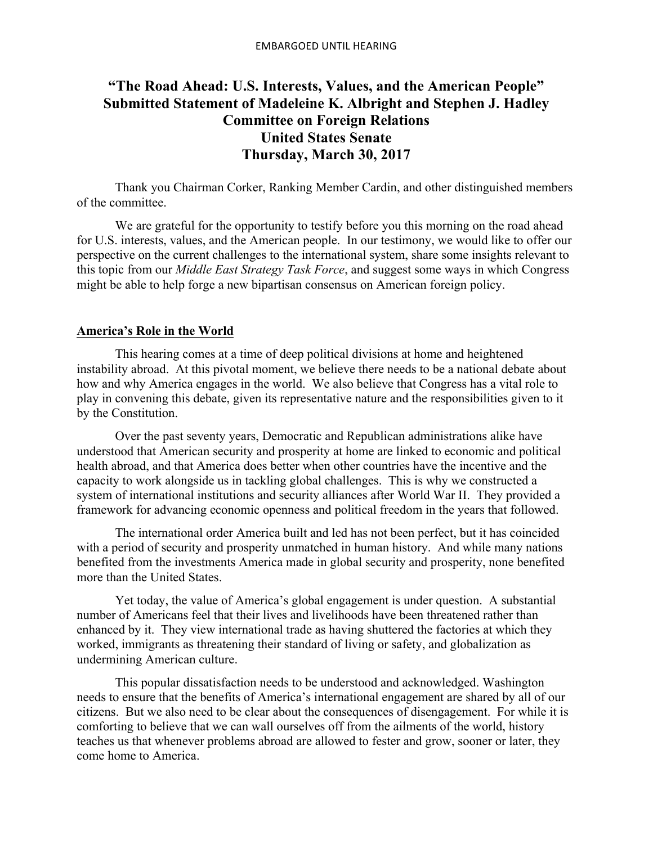# **"The Road Ahead: U.S. Interests, Values, and the American People" Submitted Statement of Madeleine K. Albright and Stephen J. Hadley Committee on Foreign Relations United States Senate Thursday, March 30, 2017**

Thank you Chairman Corker, Ranking Member Cardin, and other distinguished members of the committee.

We are grateful for the opportunity to testify before you this morning on the road ahead for U.S. interests, values, and the American people. In our testimony, we would like to offer our perspective on the current challenges to the international system, share some insights relevant to this topic from our *Middle East Strategy Task Force*, and suggest some ways in which Congress might be able to help forge a new bipartisan consensus on American foreign policy.

# **America's Role in the World**

This hearing comes at a time of deep political divisions at home and heightened instability abroad. At this pivotal moment, we believe there needs to be a national debate about how and why America engages in the world. We also believe that Congress has a vital role to play in convening this debate, given its representative nature and the responsibilities given to it by the Constitution.

Over the past seventy years, Democratic and Republican administrations alike have understood that American security and prosperity at home are linked to economic and political health abroad, and that America does better when other countries have the incentive and the capacity to work alongside us in tackling global challenges. This is why we constructed a system of international institutions and security alliances after World War II. They provided a framework for advancing economic openness and political freedom in the years that followed.

The international order America built and led has not been perfect, but it has coincided with a period of security and prosperity unmatched in human history. And while many nations benefited from the investments America made in global security and prosperity, none benefited more than the United States.

Yet today, the value of America's global engagement is under question. A substantial number of Americans feel that their lives and livelihoods have been threatened rather than enhanced by it. They view international trade as having shuttered the factories at which they worked, immigrants as threatening their standard of living or safety, and globalization as undermining American culture.

This popular dissatisfaction needs to be understood and acknowledged. Washington needs to ensure that the benefits of America's international engagement are shared by all of our citizens. But we also need to be clear about the consequences of disengagement. For while it is comforting to believe that we can wall ourselves off from the ailments of the world, history teaches us that whenever problems abroad are allowed to fester and grow, sooner or later, they come home to America.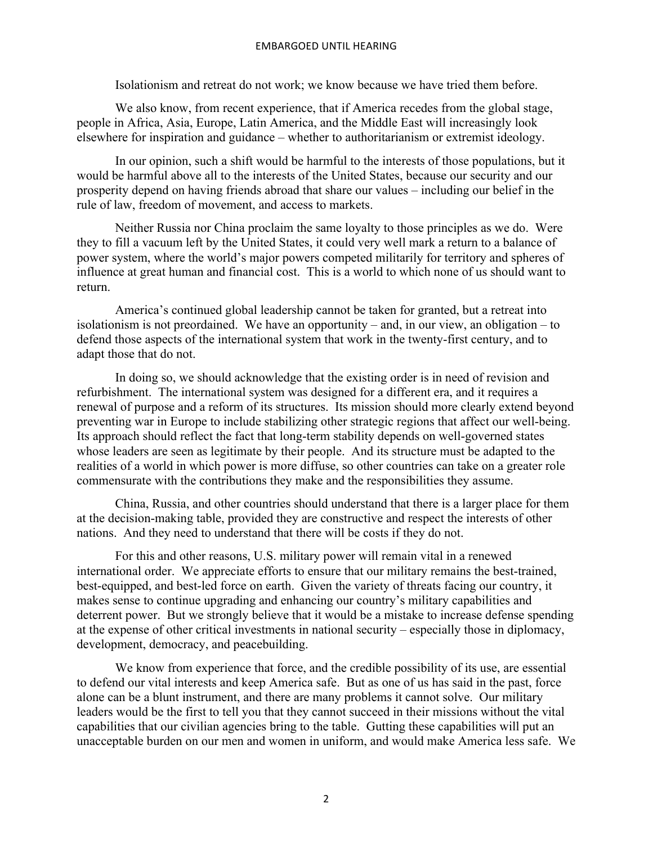### EMBARGOED UNTIL HEARING

Isolationism and retreat do not work; we know because we have tried them before.

We also know, from recent experience, that if America recedes from the global stage, people in Africa, Asia, Europe, Latin America, and the Middle East will increasingly look elsewhere for inspiration and guidance – whether to authoritarianism or extremist ideology.

In our opinion, such a shift would be harmful to the interests of those populations, but it would be harmful above all to the interests of the United States, because our security and our prosperity depend on having friends abroad that share our values – including our belief in the rule of law, freedom of movement, and access to markets.

Neither Russia nor China proclaim the same loyalty to those principles as we do. Were they to fill a vacuum left by the United States, it could very well mark a return to a balance of power system, where the world's major powers competed militarily for territory and spheres of influence at great human and financial cost. This is a world to which none of us should want to return.

America's continued global leadership cannot be taken for granted, but a retreat into isolationism is not preordained. We have an opportunity – and, in our view, an obligation – to defend those aspects of the international system that work in the twenty-first century, and to adapt those that do not.

In doing so, we should acknowledge that the existing order is in need of revision and refurbishment. The international system was designed for a different era, and it requires a renewal of purpose and a reform of its structures. Its mission should more clearly extend beyond preventing war in Europe to include stabilizing other strategic regions that affect our well-being. Its approach should reflect the fact that long-term stability depends on well-governed states whose leaders are seen as legitimate by their people. And its structure must be adapted to the realities of a world in which power is more diffuse, so other countries can take on a greater role commensurate with the contributions they make and the responsibilities they assume.

China, Russia, and other countries should understand that there is a larger place for them at the decision-making table, provided they are constructive and respect the interests of other nations. And they need to understand that there will be costs if they do not.

For this and other reasons, U.S. military power will remain vital in a renewed international order. We appreciate efforts to ensure that our military remains the best-trained, best-equipped, and best-led force on earth. Given the variety of threats facing our country, it makes sense to continue upgrading and enhancing our country's military capabilities and deterrent power. But we strongly believe that it would be a mistake to increase defense spending at the expense of other critical investments in national security – especially those in diplomacy, development, democracy, and peacebuilding.

We know from experience that force, and the credible possibility of its use, are essential to defend our vital interests and keep America safe. But as one of us has said in the past, force alone can be a blunt instrument, and there are many problems it cannot solve. Our military leaders would be the first to tell you that they cannot succeed in their missions without the vital capabilities that our civilian agencies bring to the table. Gutting these capabilities will put an unacceptable burden on our men and women in uniform, and would make America less safe. We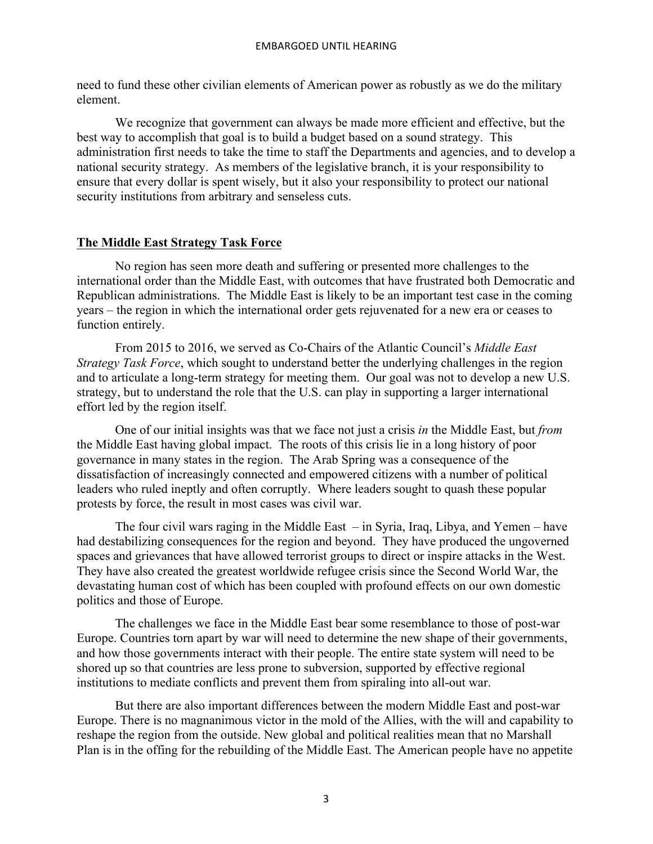need to fund these other civilian elements of American power as robustly as we do the military element.

We recognize that government can always be made more efficient and effective, but the best way to accomplish that goal is to build a budget based on a sound strategy. This administration first needs to take the time to staff the Departments and agencies, and to develop a national security strategy. As members of the legislative branch, it is your responsibility to ensure that every dollar is spent wisely, but it also your responsibility to protect our national security institutions from arbitrary and senseless cuts.

## **The Middle East Strategy Task Force**

No region has seen more death and suffering or presented more challenges to the international order than the Middle East, with outcomes that have frustrated both Democratic and Republican administrations. The Middle East is likely to be an important test case in the coming years – the region in which the international order gets rejuvenated for a new era or ceases to function entirely.

From 2015 to 2016, we served as Co-Chairs of the Atlantic Council's *Middle East Strategy Task Force*, which sought to understand better the underlying challenges in the region and to articulate a long-term strategy for meeting them. Our goal was not to develop a new U.S. strategy, but to understand the role that the U.S. can play in supporting a larger international effort led by the region itself.

One of our initial insights was that we face not just a crisis *in* the Middle East, but *from* the Middle East having global impact. The roots of this crisis lie in a long history of poor governance in many states in the region. The Arab Spring was a consequence of the dissatisfaction of increasingly connected and empowered citizens with a number of political leaders who ruled ineptly and often corruptly. Where leaders sought to quash these popular protests by force, the result in most cases was civil war.

The four civil wars raging in the Middle East – in Syria, Iraq, Libya, and Yemen – have had destabilizing consequences for the region and beyond. They have produced the ungoverned spaces and grievances that have allowed terrorist groups to direct or inspire attacks in the West. They have also created the greatest worldwide refugee crisis since the Second World War, the devastating human cost of which has been coupled with profound effects on our own domestic politics and those of Europe.

The challenges we face in the Middle East bear some resemblance to those of post-war Europe. Countries torn apart by war will need to determine the new shape of their governments, and how those governments interact with their people. The entire state system will need to be shored up so that countries are less prone to subversion, supported by effective regional institutions to mediate conflicts and prevent them from spiraling into all-out war.

But there are also important differences between the modern Middle East and post-war Europe. There is no magnanimous victor in the mold of the Allies, with the will and capability to reshape the region from the outside. New global and political realities mean that no Marshall Plan is in the offing for the rebuilding of the Middle East. The American people have no appetite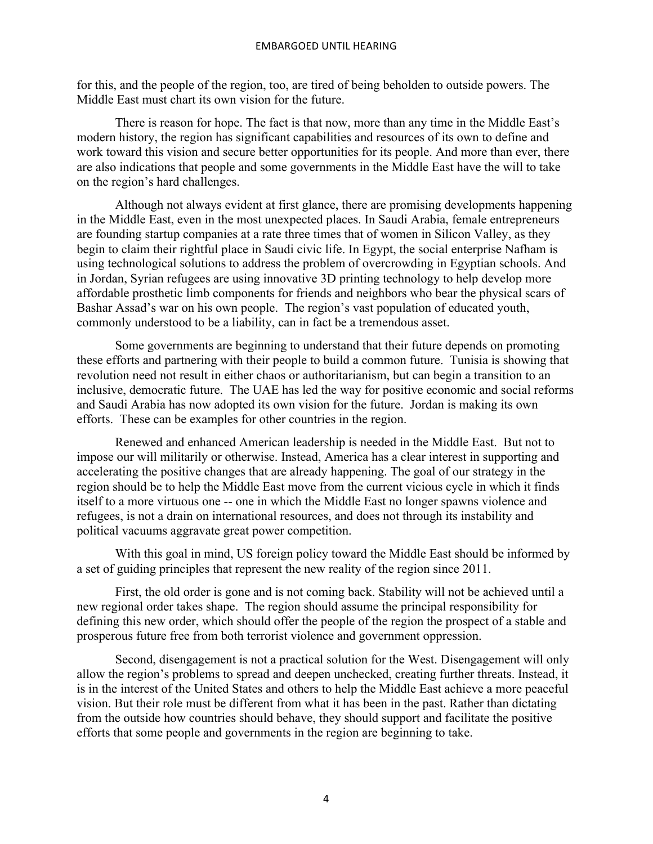for this, and the people of the region, too, are tired of being beholden to outside powers. The Middle East must chart its own vision for the future.

There is reason for hope. The fact is that now, more than any time in the Middle East's modern history, the region has significant capabilities and resources of its own to define and work toward this vision and secure better opportunities for its people. And more than ever, there are also indications that people and some governments in the Middle East have the will to take on the region's hard challenges.

Although not always evident at first glance, there are promising developments happening in the Middle East, even in the most unexpected places. In Saudi Arabia, female entrepreneurs are founding startup companies at a rate three times that of women in Silicon Valley, as they begin to claim their rightful place in Saudi civic life. In Egypt, the social enterprise Nafham is using technological solutions to address the problem of overcrowding in Egyptian schools. And in Jordan, Syrian refugees are using innovative 3D printing technology to help develop more affordable prosthetic limb components for friends and neighbors who bear the physical scars of Bashar Assad's war on his own people. The region's vast population of educated youth, commonly understood to be a liability, can in fact be a tremendous asset.

Some governments are beginning to understand that their future depends on promoting these efforts and partnering with their people to build a common future. Tunisia is showing that revolution need not result in either chaos or authoritarianism, but can begin a transition to an inclusive, democratic future. The UAE has led the way for positive economic and social reforms and Saudi Arabia has now adopted its own vision for the future. Jordan is making its own efforts. These can be examples for other countries in the region.

Renewed and enhanced American leadership is needed in the Middle East. But not to impose our will militarily or otherwise. Instead, America has a clear interest in supporting and accelerating the positive changes that are already happening. The goal of our strategy in the region should be to help the Middle East move from the current vicious cycle in which it finds itself to a more virtuous one -- one in which the Middle East no longer spawns violence and refugees, is not a drain on international resources, and does not through its instability and political vacuums aggravate great power competition.

With this goal in mind, US foreign policy toward the Middle East should be informed by a set of guiding principles that represent the new reality of the region since 2011.

First, the old order is gone and is not coming back. Stability will not be achieved until a new regional order takes shape. The region should assume the principal responsibility for defining this new order, which should offer the people of the region the prospect of a stable and prosperous future free from both terrorist violence and government oppression.

Second, disengagement is not a practical solution for the West. Disengagement will only allow the region's problems to spread and deepen unchecked, creating further threats. Instead, it is in the interest of the United States and others to help the Middle East achieve a more peaceful vision. But their role must be different from what it has been in the past. Rather than dictating from the outside how countries should behave, they should support and facilitate the positive efforts that some people and governments in the region are beginning to take.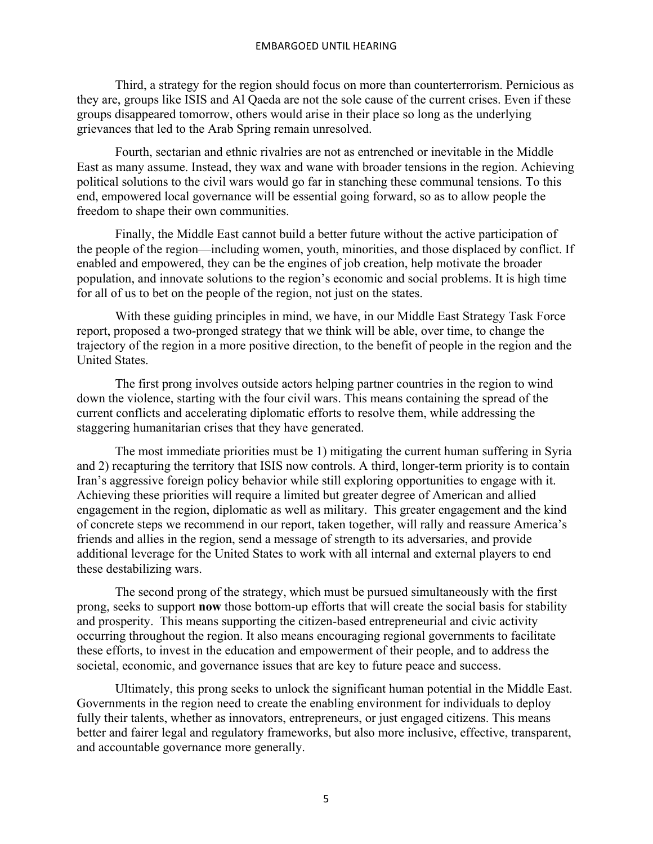Third, a strategy for the region should focus on more than counterterrorism. Pernicious as they are, groups like ISIS and Al Qaeda are not the sole cause of the current crises. Even if these groups disappeared tomorrow, others would arise in their place so long as the underlying grievances that led to the Arab Spring remain unresolved.

Fourth, sectarian and ethnic rivalries are not as entrenched or inevitable in the Middle East as many assume. Instead, they wax and wane with broader tensions in the region. Achieving political solutions to the civil wars would go far in stanching these communal tensions. To this end, empowered local governance will be essential going forward, so as to allow people the freedom to shape their own communities.

Finally, the Middle East cannot build a better future without the active participation of the people of the region—including women, youth, minorities, and those displaced by conflict. If enabled and empowered, they can be the engines of job creation, help motivate the broader population, and innovate solutions to the region's economic and social problems. It is high time for all of us to bet on the people of the region, not just on the states.

With these guiding principles in mind, we have, in our Middle East Strategy Task Force report, proposed a two-pronged strategy that we think will be able, over time, to change the trajectory of the region in a more positive direction, to the benefit of people in the region and the United States.

The first prong involves outside actors helping partner countries in the region to wind down the violence, starting with the four civil wars. This means containing the spread of the current conflicts and accelerating diplomatic efforts to resolve them, while addressing the staggering humanitarian crises that they have generated.

The most immediate priorities must be 1) mitigating the current human suffering in Syria and 2) recapturing the territory that ISIS now controls. A third, longer-term priority is to contain Iran's aggressive foreign policy behavior while still exploring opportunities to engage with it. Achieving these priorities will require a limited but greater degree of American and allied engagement in the region, diplomatic as well as military. This greater engagement and the kind of concrete steps we recommend in our report, taken together, will rally and reassure America's friends and allies in the region, send a message of strength to its adversaries, and provide additional leverage for the United States to work with all internal and external players to end these destabilizing wars.

The second prong of the strategy, which must be pursued simultaneously with the first prong, seeks to support **now** those bottom-up efforts that will create the social basis for stability and prosperity. This means supporting the citizen-based entrepreneurial and civic activity occurring throughout the region. It also means encouraging regional governments to facilitate these efforts, to invest in the education and empowerment of their people, and to address the societal, economic, and governance issues that are key to future peace and success.

Ultimately, this prong seeks to unlock the significant human potential in the Middle East. Governments in the region need to create the enabling environment for individuals to deploy fully their talents, whether as innovators, entrepreneurs, or just engaged citizens. This means better and fairer legal and regulatory frameworks, but also more inclusive, effective, transparent, and accountable governance more generally.